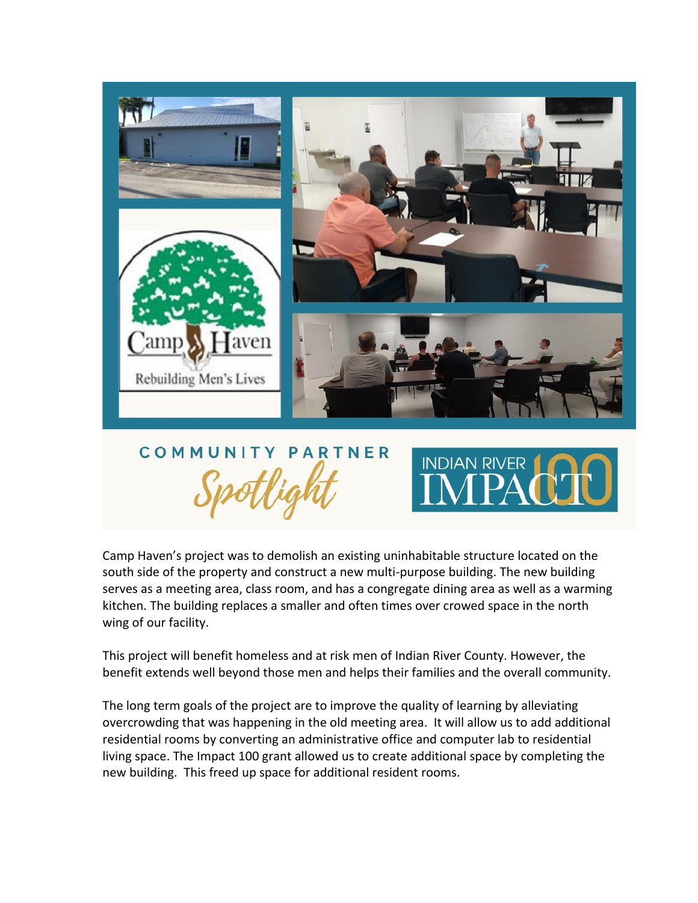

Camp Haven's project was to demolish an existing uninhabitable structure located on the south side of the property and construct a new multi-purpose building. The new building serves as a meeting area, class room, and has a congregate dining area as well as a warming kitchen. The building replaces a smaller and often times over crowed space in the north wing of our facility.

This project will benefit homeless and at risk men of Indian River County. However, the benefit extends well beyond those men and helps their families and the overall community.

The long term goals of the project are to improve the quality of learning by alleviating overcrowding that was happening in the old meeting area. It will allow us to add additional residential rooms by converting an administrative office and computer lab to residential living space. The Impact 100 grant allowed us to create additional space by completing the new building. This freed up space for additional resident rooms.